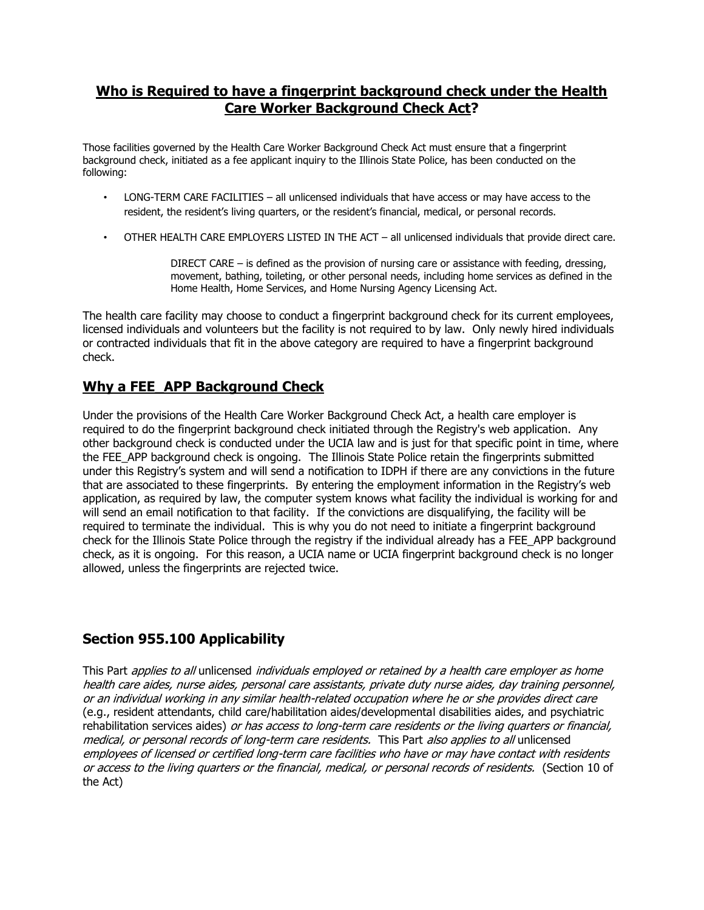#### **Who is Required to have a fingerprint background check under the Health Care Worker Background Check Act?**

Those facilities governed by the Health Care Worker Background Check Act must ensure that a fingerprint background check, initiated as a fee applicant inquiry to the Illinois State Police, has been conducted on the following:

- LONG-TERM CARE FACILITIES all unlicensed individuals that have access or may have access to the resident, the resident's living quarters, or the resident's financial, medical, or personal records.
- OTHER HEALTH CARE EMPLOYERS LISTED IN THE ACT all unlicensed individuals that provide direct care.

DIRECT CARE – is defined as the provision of nursing care or assistance with feeding, dressing, movement, bathing, toileting, or other personal needs, including home services as defined in the Home Health, Home Services, and Home Nursing Agency Licensing Act.

The health care facility may choose to conduct a fingerprint background check for its current employees, licensed individuals and volunteers but the facility is not required to by law. Only newly hired individuals or contracted individuals that fit in the above category are required to have a fingerprint background check.

## **Why a FEE\_APP Background Check**

Under the provisions of the Health Care Worker Background Check Act, a health care employer is required to do the fingerprint background check initiated through the Registry's web application. Any other background check is conducted under the UCIA law and is just for that specific point in time, where the FEE\_APP background check is ongoing. The Illinois State Police retain the fingerprints submitted under this Registry's system and will send a notification to IDPH if there are any convictions in the future that are associated to these fingerprints. By entering the employment information in the Registry's web application, as required by law, the computer system knows what facility the individual is working for and will send an email notification to that facility. If the convictions are disqualifying, the facility will be required to terminate the individual. This is why you do not need to initiate a fingerprint background check for the Illinois State Police through the registry if the individual already has a FEE\_APP background check, as it is ongoing. For this reason, a UCIA name or UCIA fingerprint background check is no longer allowed, unless the fingerprints are rejected twice.

# **Section 955.100 Applicability**

This Part applies to all unlicensed individuals employed or retained by a health care employer as home health care aides, nurse aides, personal care assistants, private duty nurse aides, day training personnel, or an individual working in any similar health-related occupation where he or she provides direct care (e.g., resident attendants, child care/habilitation aides/developmental disabilities aides, and psychiatric rehabilitation services aides) or has access to long-term care residents or the living quarters or financial, medical, or personal records of long-term care residents. This Part also applies to all unlicensed employees of licensed or certified long-term care facilities who have or may have contact with residents or access to the living quarters or the financial, medical, or personal records of residents. (Section 10 of the Act)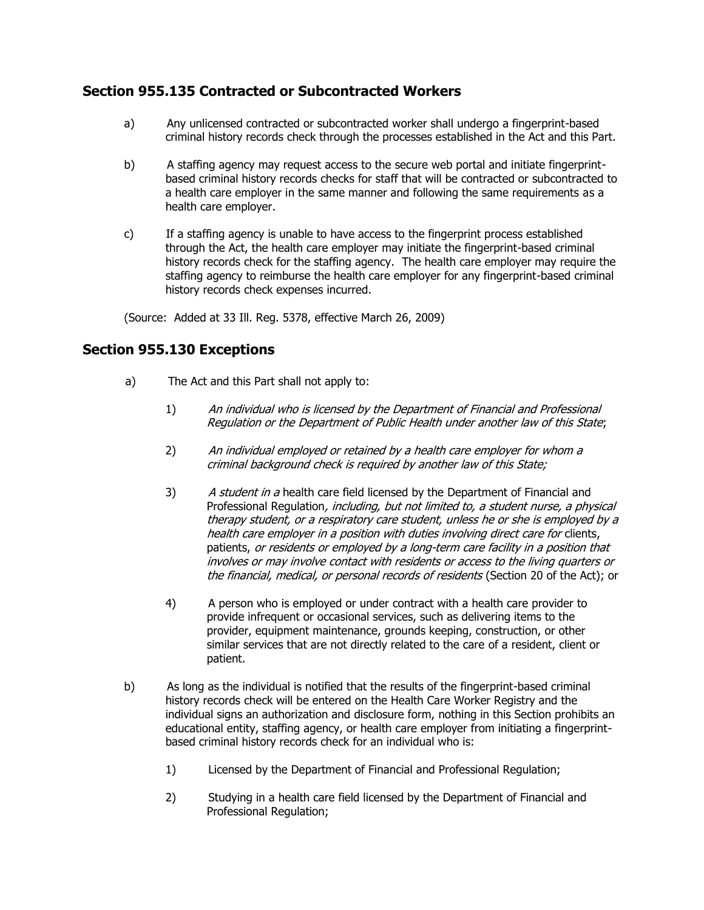## **Section 955.135 Contracted or Subcontracted Workers**

- a) Any unlicensed contracted or subcontracted worker shall undergo a fingerprint-based criminal history records check through the processes established in the Act and this Part.
- b) A staffing agency may request access to the secure web portal and initiate fingerprintbased criminal history records checks for staff that will be contracted or subcontracted to a health care employer in the same manner and following the same requirements as a health care employer.
- c) If a staffing agency is unable to have access to the fingerprint process established through the Act, the health care employer may initiate the fingerprint-based criminal history records check for the staffing agency. The health care employer may require the staffing agency to reimburse the health care employer for any fingerprint-based criminal history records check expenses incurred.

(Source: Added at 33 Ill. Reg. 5378, effective March 26, 2009)

## **Section 955.130 Exceptions**

- a) The Act and this Part shall not apply to:
	- 1) An individual who is licensed by the Department of Financial and Professional Regulation or the Department of Public Health under another law of this State;
	- 2) An individual employed or retained by a health care employer for whom a criminal background check is required by another law of this State;
	- 3) A student in a health care field licensed by the Department of Financial and Professional Regulation, including, but not limited to, a student nurse, a physical therapy student, or a respiratory care student, unless he or she is employed by a health care employer in a position with duties involving direct care for clients, patients, or residents or employed by a long-term care facility in a position that involves or may involve contact with residents or access to the living quarters or the financial, medical, or personal records of residents (Section 20 of the Act); or
	- 4) A person who is employed or under contract with a health care provider to provide infrequent or occasional services, such as delivering items to the provider, equipment maintenance, grounds keeping, construction, or other similar services that are not directly related to the care of a resident, client or patient.
- b) As long as the individual is notified that the results of the fingerprint-based criminal history records check will be entered on the Health Care Worker Registry and the individual signs an authorization and disclosure form, nothing in this Section prohibits an educational entity, staffing agency, or health care employer from initiating a fingerprintbased criminal history records check for an individual who is:
	- 1) Licensed by the Department of Financial and Professional Regulation;
	- 2) Studying in a health care field licensed by the Department of Financial and Professional Regulation;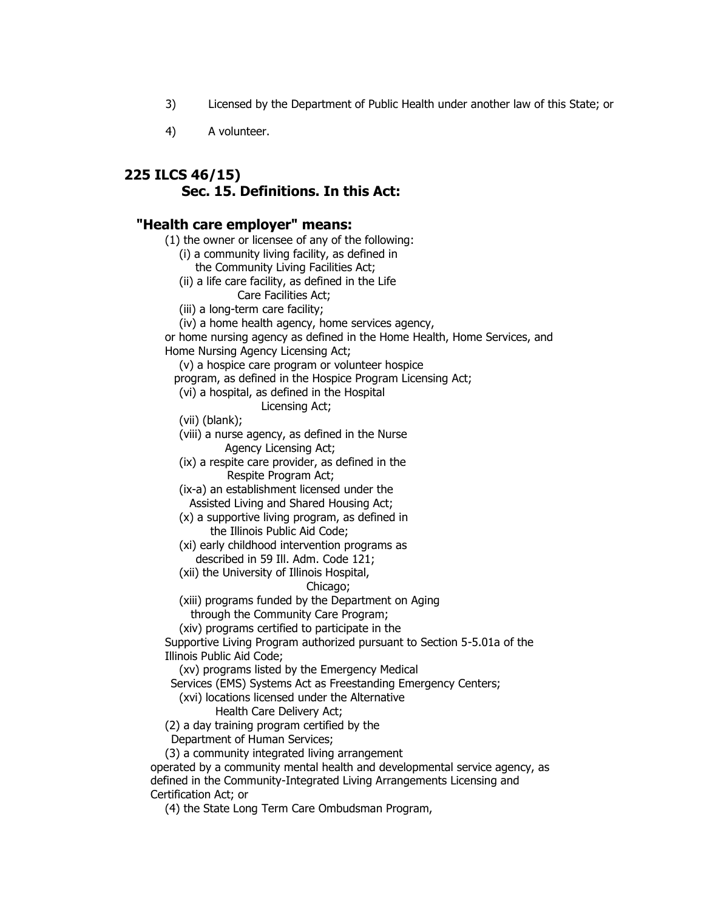- 3) Licensed by the Department of Public Health under another law of this State; or
- 4) A volunteer.

## **225 ILCS 46/15) Sec. 15. Definitions. In this Act:**

#### **"Health care employer" means:**

(1) the owner or licensee of any of the following:

- (i) a community living facility, as defined in
- the Community Living Facilities Act;
- (ii) a life care facility, as defined in the Life
	- Care Facilities Act;
- (iii) a long-term care facility;
- (iv) a home health agency, home services agency,

or home nursing agency as defined in the Home Health, Home Services, and Home Nursing Agency Licensing Act;

(v) a hospice care program or volunteer hospice

program, as defined in the Hospice Program Licensing Act;

- (vi) a hospital, as defined in the Hospital
	- Licensing Act;

(vii) (blank);

- (viii) a nurse agency, as defined in the Nurse Agency Licensing Act;
- (ix) a respite care provider, as defined in the Respite Program Act;

 (ix-a) an establishment licensed under the Assisted Living and Shared Housing Act;

 (x) a supportive living program, as defined in the Illinois Public Aid Code;

- (xi) early childhood intervention programs as described in 59 Ill. Adm. Code 121;
- (xii) the University of Illinois Hospital,

#### Chicago;

 (xiii) programs funded by the Department on Aging through the Community Care Program;

(xiv) programs certified to participate in the

Supportive Living Program authorized pursuant to Section 5-5.01a of the Illinois Public Aid Code;

(xv) programs listed by the Emergency Medical

Services (EMS) Systems Act as Freestanding Emergency Centers;

- (xvi) locations licensed under the Alternative
	- Health Care Delivery Act;

(2) a day training program certified by the

Department of Human Services;

(3) a community integrated living arrangement

operated by a community mental health and developmental service agency, as defined in the Community-Integrated Living Arrangements Licensing and Certification Act; or

(4) the State Long Term Care Ombudsman Program,